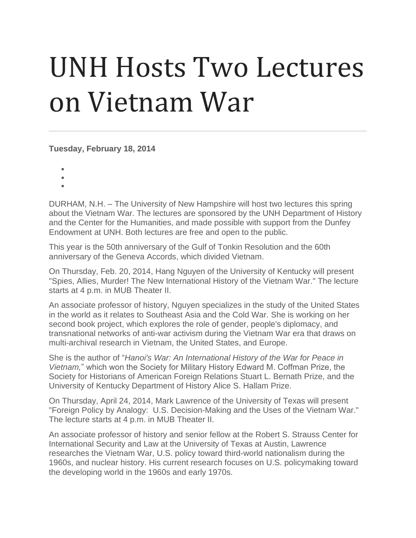## UNH Hosts Two Lectures on Vietnam War

**Tuesday, February 18, 2014**

- •
- •
- •

DURHAM, N.H. – The University of New Hampshire will host two lectures this spring about the Vietnam War. The lectures are sponsored by the UNH Department of History and the Center for the Humanities, and made possible with support from the Dunfey Endowment at UNH. Both lectures are free and open to the public.

This year is the 50th anniversary of the Gulf of Tonkin Resolution and the 60th anniversary of the Geneva Accords, which divided Vietnam.

On Thursday, Feb. 20, 2014, Hang Nguyen of the University of Kentucky will present "Spies, Allies, Murder! The New International History of the Vietnam War." The lecture starts at 4 p.m. in MUB Theater II.

An associate professor of history, Nguyen specializes in the study of the United States in the world as it relates to Southeast Asia and the Cold War. She is working on her second book project, which explores the role of gender, people's diplomacy, and transnational networks of anti-war activism during the Vietnam War era that draws on multi-archival research in Vietnam, the United States, and Europe.

She is the author of "*Hanoi's War: An International History of the War for Peace in Vietnam,*" which won the Society for Military History Edward M. Coffman Prize, the Society for Historians of American Foreign Relations Stuart L. Bernath Prize, and the University of Kentucky Department of History Alice S. Hallam Prize.

On Thursday, April 24, 2014, Mark Lawrence of the University of Texas will present "Foreign Policy by Analogy: U.S. Decision-Making and the Uses of the Vietnam War." The lecture starts at 4 p.m. in MUB Theater II.

An associate professor of history and senior fellow at the Robert S. Strauss Center for International Security and Law at the University of Texas at Austin, Lawrence researches the Vietnam War, U.S. policy toward third-world nationalism during the 1960s, and nuclear history. His current research focuses on U.S. policymaking toward the developing world in the 1960s and early 1970s.